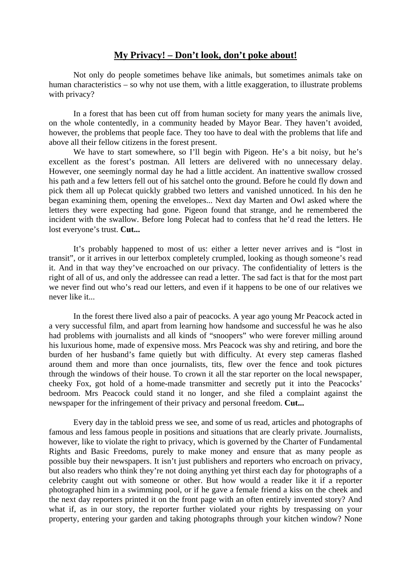## **My Privacy! – Don't look, don't poke about!**

Not only do people sometimes behave like animals, but sometimes animals take on human characteristics – so why not use them, with a little exaggeration, to illustrate problems with privacy?

In a forest that has been cut off from human society for many years the animals live, on the whole contentedly, in a community headed by Mayor Bear. They haven't avoided, however, the problems that people face. They too have to deal with the problems that life and above all their fellow citizens in the forest present.

We have to start somewhere, so I'll begin with Pigeon. He's a bit noisy, but he's excellent as the forest's postman. All letters are delivered with no unnecessary delay. However, one seemingly normal day he had a little accident. An inattentive swallow crossed his path and a few letters fell out of his satchel onto the ground. Before he could fly down and pick them all up Polecat quickly grabbed two letters and vanished unnoticed. In his den he began examining them, opening the envelopes... Next day Marten and Owl asked where the letters they were expecting had gone. Pigeon found that strange, and he remembered the incident with the swallow. Before long Polecat had to confess that he'd read the letters. He lost everyone's trust. **Cut...** 

It's probably happened to most of us: either a letter never arrives and is "lost in transit", or it arrives in our letterbox completely crumpled, looking as though someone's read it. And in that way they've encroached on our privacy. The confidentiality of letters is the right of all of us, and only the addressee can read a letter. The sad fact is that for the most part we never find out who's read our letters, and even if it happens to be one of our relatives we never like it...

In the forest there lived also a pair of peacocks. A year ago young Mr Peacock acted in a very successful film, and apart from learning how handsome and successful he was he also had problems with journalists and all kinds of "snoopers" who were forever milling around his luxurious home, made of expensive moss. Mrs Peacock was shy and retiring, and bore the burden of her husband's fame quietly but with difficulty. At every step cameras flashed around them and more than once journalists, tits, flew over the fence and took pictures through the windows of their house. To crown it all the star reporter on the local newspaper, cheeky Fox, got hold of a home-made transmitter and secretly put it into the Peacocks' bedroom. Mrs Peacock could stand it no longer, and she filed a complaint against the newspaper for the infringement of their privacy and personal freedom. **Cut...** 

Every day in the tabloid press we see, and some of us read, articles and photographs of famous and less famous people in positions and situations that are clearly private. Journalists, however, like to violate the right to privacy, which is governed by the Charter of Fundamental Rights and Basic Freedoms, purely to make money and ensure that as many people as possible buy their newspapers. It isn't just publishers and reporters who encroach on privacy, but also readers who think they're not doing anything yet thirst each day for photographs of a celebrity caught out with someone or other. But how would a reader like it if a reporter photographed him in a swimming pool, or if he gave a female friend a kiss on the cheek and the next day reporters printed it on the front page with an often entirely invented story? And what if, as in our story, the reporter further violated your rights by trespassing on your property, entering your garden and taking photographs through your kitchen window? None